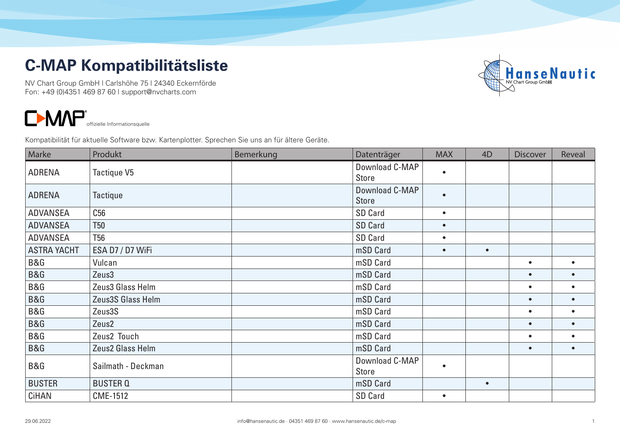## **C-MAP Kompatibilitätsliste**

NV Chart Group GmbH | Carlshöhe 75 | 24340 Eckernförde Fon: +49 (0)4351 469 87 60 | support@nvcharts.com



 $\blacksquare$ M $\blacksquare$ <sup>offizielle Informationsquelle</sub></sup>

Kompatibilität für aktuelle Software bzw. Kartenplotter. Sprechen Sie uns an für ältere Geräte.

| Marke              | Produkt            | Bemerkung | Datenträger                    | <b>MAX</b> | 4D        | <b>Discover</b> | Reveal    |
|--------------------|--------------------|-----------|--------------------------------|------------|-----------|-----------------|-----------|
| <b>ADRENA</b>      | Tactique V5        |           | Download C-MAP<br><b>Store</b> | $\bullet$  |           |                 |           |
| <b>ADRENA</b>      | Tactique           |           | Download C-MAP<br><b>Store</b> | $\bullet$  |           |                 |           |
| <b>ADVANSEA</b>    | C56                |           | SD Card                        | $\bullet$  |           |                 |           |
| <b>ADVANSEA</b>    | <b>T50</b>         |           | <b>SD Card</b>                 | $\bullet$  |           |                 |           |
| <b>ADVANSEA</b>    | <b>T56</b>         |           | SD Card                        | $\bullet$  |           |                 |           |
| <b>ASTRA YACHT</b> | ESA D7 / D7 WiFi   |           | mSD Card                       | $\bullet$  | $\bullet$ |                 |           |
| B&G                | Vulcan             |           | mSD Card                       |            |           | $\bullet$       |           |
| B&G                | Zeus3              |           | mSD Card                       |            |           | $\bullet$       |           |
| B&G                | Zeus3 Glass Helm   |           | mSD Card                       |            |           | $\bullet$       | $\bullet$ |
| B&G                | Zeus3S Glass Helm  |           | mSD Card                       |            |           | $\bullet$       | $\bullet$ |
| B&G                | Zeus3S             |           | mSD Card                       |            |           | $\bullet$       | $\bullet$ |
| B&G                | Zeus2              |           | mSD Card                       |            |           | $\bullet$       | $\bullet$ |
| B&G                | Zeus2 Touch        |           | mSD Card                       |            |           | $\bullet$       | $\bullet$ |
| B&G                | Zeus2 Glass Helm   |           | mSD Card                       |            |           | $\bullet$       | $\bullet$ |
| B&G                | Sailmath - Deckman |           | Download C-MAP<br><b>Store</b> | $\bullet$  |           |                 |           |
| <b>BUSTER</b>      | <b>BUSTER Q</b>    |           | mSD Card                       |            | $\bullet$ |                 |           |
| CiHAN              | <b>CME-1512</b>    |           | SD Card                        | $\bullet$  |           |                 |           |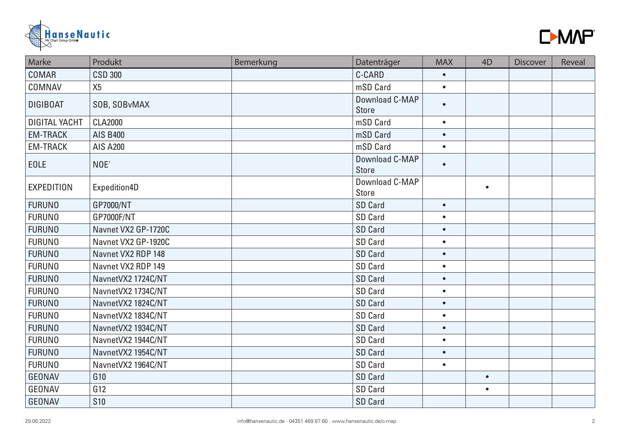



| Marke                | Produkt             | Bemerkung | Datenträger                    | <b>MAX</b> | 4D        | <b>Discover</b> | Reveal |
|----------------------|---------------------|-----------|--------------------------------|------------|-----------|-----------------|--------|
| COMAR                | <b>CSD 300</b>      |           | C-CARD                         | $\bullet$  |           |                 |        |
| COMNAV               | X <sub>5</sub>      |           | mSD Card                       | $\bullet$  |           |                 |        |
| <b>DIGIBOAT</b>      | SOB, SOBvMAX        |           | Download C-MAP<br><b>Store</b> | $\bullet$  |           |                 |        |
| <b>DIGITAL YACHT</b> | <b>CLA2000</b>      |           | mSD Card                       | $\bullet$  |           |                 |        |
| <b>EM-TRACK</b>      | <b>AIS B400</b>     |           | mSD Card                       | $\bullet$  |           |                 |        |
| <b>EM-TRACK</b>      | <b>AIS A200</b>     |           | mSD Card                       | $\bullet$  |           |                 |        |
| <b>EOLE</b>          | NOE'                |           | Download C-MAP<br><b>Store</b> | $\bullet$  |           |                 |        |
| <b>EXPEDITION</b>    | Expedition4D        |           | Download C-MAP<br><b>Store</b> |            | $\bullet$ |                 |        |
| <b>FURUNO</b>        | GP7000/NT           |           | <b>SD Card</b>                 | $\bullet$  |           |                 |        |
| <b>FURUNO</b>        | GP7000F/NT          |           | SD Card                        | $\bullet$  |           |                 |        |
| <b>FURUNO</b>        | Navnet VX2 GP-1720C |           | <b>SD Card</b>                 | $\bullet$  |           |                 |        |
| <b>FURUNO</b>        | Navnet VX2 GP-1920C |           | SD Card                        | $\bullet$  |           |                 |        |
| <b>FURUNO</b>        | Navnet VX2 RDP 148  |           | <b>SD Card</b>                 | $\bullet$  |           |                 |        |
| <b>FURUNO</b>        | Navnet VX2 RDP 149  |           | <b>SD Card</b>                 | $\bullet$  |           |                 |        |
| <b>FURUNO</b>        | NavnetVX2 1724C/NT  |           | <b>SD Card</b>                 | $\bullet$  |           |                 |        |
| <b>FURUNO</b>        | NavnetVX2 1734C/NT  |           | SD Card                        | $\bullet$  |           |                 |        |
| <b>FURUNO</b>        | NavnetVX2 1824C/NT  |           | <b>SD Card</b>                 | $\bullet$  |           |                 |        |
| <b>FURUNO</b>        | NavnetVX2 1834C/NT  |           | SD Card                        | $\bullet$  |           |                 |        |
| <b>FURUNO</b>        | NavnetVX2 1934C/NT  |           | <b>SD Card</b>                 | $\bullet$  |           |                 |        |
| <b>FURUNO</b>        | NavnetVX2 1944C/NT  |           | SD Card                        | $\bullet$  |           |                 |        |
| <b>FURUNO</b>        | NavnetVX2 1954C/NT  |           | <b>SD Card</b>                 | $\bullet$  |           |                 |        |
| <b>FURUNO</b>        | NavnetVX2 1964C/NT  |           | SD Card                        | $\bullet$  |           |                 |        |
| <b>GEONAV</b>        | G10                 |           | <b>SD Card</b>                 |            | $\bullet$ |                 |        |
| GEONAV               | G12                 |           | SD Card                        |            | $\bullet$ |                 |        |
| <b>GEONAV</b>        | <b>S10</b>          |           | <b>SD Card</b>                 |            |           |                 |        |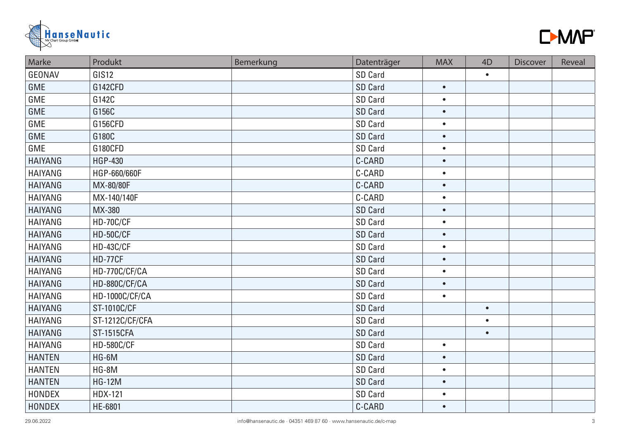



| Marke          | Produkt               | Bemerkung | Datenträger    | <b>MAX</b> | 4 <sub>D</sub> | <b>Discover</b> | Reveal |
|----------------|-----------------------|-----------|----------------|------------|----------------|-----------------|--------|
| <b>GEONAV</b>  | GIS <sub>12</sub>     |           | <b>SD Card</b> |            | $\bullet$      |                 |        |
| GME            | G142CFD               |           | <b>SD Card</b> | $\bullet$  |                |                 |        |
| GME            | G142C                 |           | SD Card        | $\bullet$  |                |                 |        |
| <b>GME</b>     | G156C                 |           | <b>SD Card</b> | $\bullet$  |                |                 |        |
| GME            | G156CFD               |           | SD Card        | $\bullet$  |                |                 |        |
| <b>GME</b>     | G180C                 |           | <b>SD Card</b> | $\bullet$  |                |                 |        |
| GME            | G180CFD               |           | SD Card        | $\bullet$  |                |                 |        |
| <b>HAIYANG</b> | <b>HGP-430</b>        |           | C-CARD         | $\bullet$  |                |                 |        |
| <b>HAIYANG</b> | HGP-660/660F          |           | C-CARD         | $\bullet$  |                |                 |        |
| <b>HAIYANG</b> | MX-80/80F             |           | C-CARD         | $\bullet$  |                |                 |        |
| <b>HAIYANG</b> | MX-140/140F           |           | C-CARD         | $\bullet$  |                |                 |        |
| <b>HAIYANG</b> | MX-380                |           | <b>SD Card</b> | $\bullet$  |                |                 |        |
| <b>HAIYANG</b> | HD-70C/CF             |           | SD Card        | $\bullet$  |                |                 |        |
| <b>HAIYANG</b> | <b>HD-50C/CF</b>      |           | <b>SD Card</b> | $\bullet$  |                |                 |        |
| <b>HAIYANG</b> | <b>HD-43C/CF</b>      |           | SD Card        | $\bullet$  |                |                 |        |
| <b>HAIYANG</b> | <b>HD-77CF</b>        |           | <b>SD Card</b> | $\bullet$  |                |                 |        |
| <b>HAIYANG</b> | HD-770C/CF/CA         |           | SD Card        | $\bullet$  |                |                 |        |
| <b>HAIYANG</b> | HD-880C/CF/CA         |           | <b>SD Card</b> | $\bullet$  |                |                 |        |
| <b>HAIYANG</b> | <b>HD-1000C/CF/CA</b> |           | SD Card        | $\bullet$  |                |                 |        |
| <b>HAIYANG</b> | <b>ST-1010C/CF</b>    |           | <b>SD Card</b> |            | $\bullet$      |                 |        |
| <b>HAIYANG</b> | ST-1212C/CF/CFA       |           | <b>SD Card</b> |            | $\bullet$      |                 |        |
| <b>HAIYANG</b> | <b>ST-1515CFA</b>     |           | <b>SD Card</b> |            | $\bullet$      |                 |        |
| <b>HAIYANG</b> | <b>HD-580C/CF</b>     |           | SD Card        | $\bullet$  |                |                 |        |
| <b>HANTEN</b>  | HG-6M                 |           | <b>SD Card</b> | $\bullet$  |                |                 |        |
| <b>HANTEN</b>  | HG-8M                 |           | SD Card        | $\bullet$  |                |                 |        |
| <b>HANTEN</b>  | <b>HG-12M</b>         |           | <b>SD Card</b> | $\bullet$  |                |                 |        |
| <b>HONDEX</b>  | <b>HDX-121</b>        |           | SD Card        | $\bullet$  |                |                 |        |
| <b>HONDEX</b>  | HE-6801               |           | C-CARD         | $\bullet$  |                |                 |        |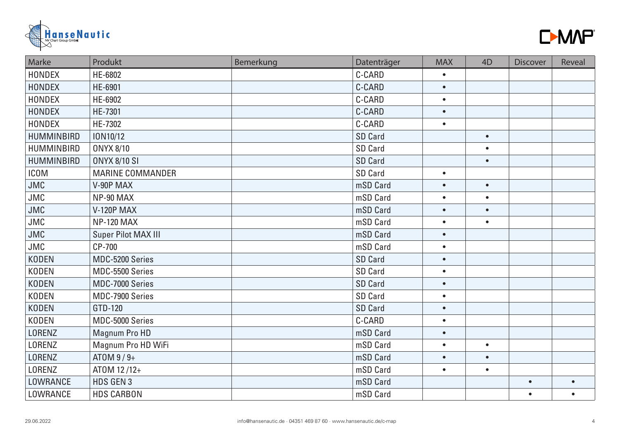



| Marke             | Produkt                 | Bemerkung | Datenträger    | <b>MAX</b> | 4 <sub>D</sub> | <b>Discover</b> | Reveal    |
|-------------------|-------------------------|-----------|----------------|------------|----------------|-----------------|-----------|
| <b>HONDEX</b>     | HE-6802                 |           | C-CARD         | $\bullet$  |                |                 |           |
| HONDEX            | HE-6901                 |           | C-CARD         | $\bullet$  |                |                 |           |
| <b>HONDEX</b>     | HE-6902                 |           | C-CARD         | $\bullet$  |                |                 |           |
| <b>HONDEX</b>     | HE-7301                 |           | C-CARD         | $\bullet$  |                |                 |           |
| <b>HONDEX</b>     | HE-7302                 |           | C-CARD         | $\bullet$  |                |                 |           |
| HUMMINBIRD        | ION10/12                |           | <b>SD Card</b> |            | $\bullet$      |                 |           |
| HUMMINBIRD        | <b>ONYX 8/10</b>        |           | SD Card        |            | $\bullet$      |                 |           |
| <b>HUMMINBIRD</b> | <b>ONYX 8/10 SI</b>     |           | <b>SD Card</b> |            | $\bullet$      |                 |           |
| <b>ICOM</b>       | <b>MARINE COMMANDER</b> |           | <b>SD Card</b> | $\bullet$  |                |                 |           |
| <b>JMC</b>        | V-90P MAX               |           | mSD Card       | $\bullet$  | $\bullet$      |                 |           |
| JMC               | NP-90 MAX               |           | mSD Card       | $\bullet$  | $\bullet$      |                 |           |
| JMC               | <b>V-120P MAX</b>       |           | mSD Card       | $\bullet$  | $\bullet$      |                 |           |
| JMC               | <b>NP-120 MAX</b>       |           | mSD Card       | $\bullet$  | $\bullet$      |                 |           |
| JMC               | Super Pilot MAX III     |           | mSD Card       | $\bullet$  |                |                 |           |
| <b>JMC</b>        | CP-700                  |           | mSD Card       | $\bullet$  |                |                 |           |
| <b>KODEN</b>      | MDC-5200 Series         |           | <b>SD Card</b> | $\bullet$  |                |                 |           |
| <b>KODEN</b>      | MDC-5500 Series         |           | SD Card        | $\bullet$  |                |                 |           |
| <b>KODEN</b>      | MDC-7000 Series         |           | <b>SD Card</b> | $\bullet$  |                |                 |           |
| <b>KODEN</b>      | MDC-7900 Series         |           | <b>SD Card</b> | $\bullet$  |                |                 |           |
| <b>KODEN</b>      | GTD-120                 |           | <b>SD Card</b> | $\bullet$  |                |                 |           |
| <b>KODEN</b>      | MDC-5000 Series         |           | C-CARD         | $\bullet$  |                |                 |           |
| LORENZ            | Magnum Pro HD           |           | mSD Card       | $\bullet$  |                |                 |           |
| LORENZ            | Magnum Pro HD WiFi      |           | mSD Card       | $\bullet$  | $\bullet$      |                 |           |
| LORENZ            | ATOM $9/9+$             |           | mSD Card       | $\bullet$  | $\bullet$      |                 |           |
| LORENZ            | ATOM 12/12+             |           | mSD Card       | $\bullet$  | $\bullet$      |                 |           |
| LOWRANCE          | HDS GEN 3               |           | mSD Card       |            |                | $\bullet$       |           |
| LOWRANCE          | <b>HDS CARBON</b>       |           | mSD Card       |            |                | $\bullet$       | $\bullet$ |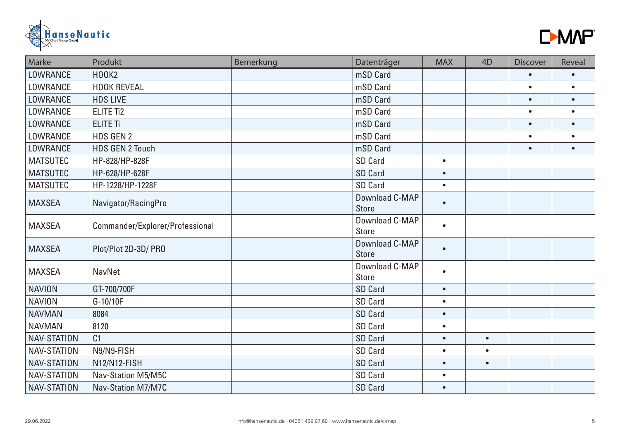



| Marke              | Produkt                         | Bemerkung | Datenträger                    | <b>MAX</b> | 4D        | <b>Discover</b> | Reveal    |
|--------------------|---------------------------------|-----------|--------------------------------|------------|-----------|-----------------|-----------|
| LOWRANCE           | <b>HOOK2</b>                    |           | mSD Card                       |            |           | $\bullet$       | $\bullet$ |
| LOWRANCE           | <b>HOOK REVEAL</b>              |           | mSD Card                       |            |           | $\bullet$       | $\bullet$ |
| LOWRANCE           | <b>HDS LIVE</b>                 |           | mSD Card                       |            |           | $\bullet$       | $\bullet$ |
| LOWRANCE           | <b>ELITE Ti2</b>                |           | mSD Card                       |            |           | $\bullet$       | $\bullet$ |
| LOWRANCE           | <b>ELITE Ti</b>                 |           | mSD Card                       |            |           | $\bullet$       | $\bullet$ |
| LOWRANCE           | <b>HDS GEN 2</b>                |           | mSD Card                       |            |           | $\bullet$       | $\bullet$ |
| LOWRANCE           | <b>HDS GEN 2 Touch</b>          |           | mSD Card                       |            |           | $\bullet$       | $\bullet$ |
| <b>MATSUTEC</b>    | HP-828/HP-828F                  |           | SD Card                        | $\bullet$  |           |                 |           |
| <b>MATSUTEC</b>    | HP-628/HP-628F                  |           | <b>SD Card</b>                 | $\bullet$  |           |                 |           |
| <b>MATSUTEC</b>    | HP-1228/HP-1228F                |           | SD Card                        | $\bullet$  |           |                 |           |
| <b>MAXSEA</b>      | Navigator/RacingPro             |           | Download C-MAP<br><b>Store</b> | $\bullet$  |           |                 |           |
| <b>MAXSEA</b>      | Commander/Explorer/Professional |           | Download C-MAP<br><b>Store</b> | $\bullet$  |           |                 |           |
| <b>MAXSEA</b>      | Plot/Plot 2D-3D/ PRO            |           | Download C-MAP<br><b>Store</b> | $\bullet$  |           |                 |           |
| <b>MAXSEA</b>      | <b>NavNet</b>                   |           | Download C-MAP<br><b>Store</b> | $\bullet$  |           |                 |           |
| <b>NAVION</b>      | GT-700/700F                     |           | <b>SD Card</b>                 | $\bullet$  |           |                 |           |
| <b>NAVION</b>      | $G-10/10F$                      |           | SD Card                        | $\bullet$  |           |                 |           |
| <b>NAVMAN</b>      | 8084                            |           | <b>SD Card</b>                 | $\bullet$  |           |                 |           |
| <b>NAVMAN</b>      | 8120                            |           | SD Card                        | $\bullet$  |           |                 |           |
| <b>NAV-STATION</b> | C <sub>1</sub>                  |           | <b>SD Card</b>                 | $\bullet$  | $\bullet$ |                 |           |
| NAV-STATION        | N9/N9-FISH                      |           | <b>SD Card</b>                 | $\bullet$  | $\bullet$ |                 |           |
| <b>NAV-STATION</b> | N12/N12-FISH                    |           | <b>SD Card</b>                 | $\bullet$  | $\bullet$ |                 |           |
| NAV-STATION        | Nav-Station M5/M5C              |           | <b>SD Card</b>                 | $\bullet$  |           |                 |           |
| NAV-STATION        | <b>Nav-Station M7/M7C</b>       |           | <b>SD Card</b>                 | $\bullet$  |           |                 |           |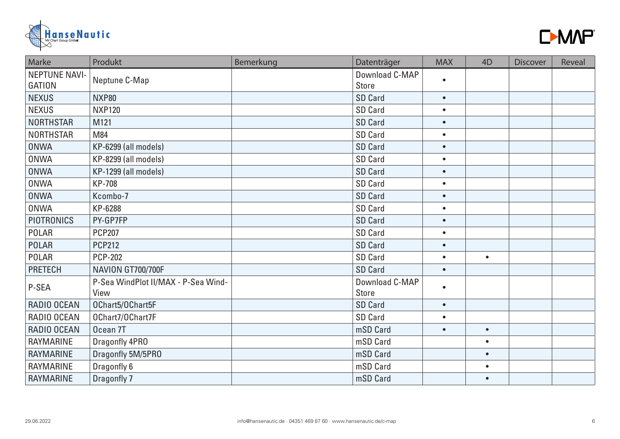



| Marke                                 | Produkt                                     | Bemerkung | Datenträger                    | <b>MAX</b> | 4D        | <b>Discover</b> | Reveal |
|---------------------------------------|---------------------------------------------|-----------|--------------------------------|------------|-----------|-----------------|--------|
| <b>NEPTUNE NAVI-</b><br><b>GATION</b> | Neptune C-Map                               |           | Download C-MAP<br><b>Store</b> | $\bullet$  |           |                 |        |
| <b>NEXUS</b>                          | <b>NXP80</b>                                |           | <b>SD Card</b>                 | $\bullet$  |           |                 |        |
| <b>NEXUS</b>                          | <b>NXP120</b>                               |           | <b>SD Card</b>                 | $\bullet$  |           |                 |        |
| <b>NORTHSTAR</b>                      | M121                                        |           | <b>SD Card</b>                 | $\bullet$  |           |                 |        |
| <b>NORTHSTAR</b>                      | M84                                         |           | <b>SD Card</b>                 | $\bullet$  |           |                 |        |
| <b>ONWA</b>                           | KP-6299 (all models)                        |           | <b>SD Card</b>                 | $\bullet$  |           |                 |        |
| <b>ONWA</b>                           | KP-8299 (all models)                        |           | SD Card                        | $\bullet$  |           |                 |        |
| <b>ONWA</b>                           | KP-1299 (all models)                        |           | <b>SD Card</b>                 | $\bullet$  |           |                 |        |
| <b>ONWA</b>                           | <b>KP-708</b>                               |           | SD Card                        | $\bullet$  |           |                 |        |
| <b>ONWA</b>                           | Kcombo-7                                    |           | SD Card                        | $\bullet$  |           |                 |        |
| <b>ONWA</b>                           | KP-6288                                     |           | SD Card                        | $\bullet$  |           |                 |        |
| <b>PIOTRONICS</b>                     | PY-GP7FP                                    |           | SD Card                        | $\bullet$  |           |                 |        |
| <b>POLAR</b>                          | <b>PCP207</b>                               |           | SD Card                        | $\bullet$  |           |                 |        |
| <b>POLAR</b>                          | <b>PCP212</b>                               |           | <b>SD Card</b>                 | $\bullet$  |           |                 |        |
| POLAR                                 | <b>PCP-202</b>                              |           | SD Card                        | $\bullet$  | $\bullet$ |                 |        |
| <b>PRETECH</b>                        | NAVION GT700/700F                           |           | <b>SD Card</b>                 | $\bullet$  |           |                 |        |
| P-SEA                                 | P-Sea WindPlot II/MAX - P-Sea Wind-<br>View |           | Download C-MAP<br><b>Store</b> | $\bullet$  |           |                 |        |
| RADIO OCEAN                           | OChart5/OChart5F                            |           | <b>SD Card</b>                 | $\bullet$  |           |                 |        |
| RADIO OCEAN                           | OChart7/OChart7F                            |           | SD Card                        | $\bullet$  |           |                 |        |
| RADIO OCEAN                           | Ocean <sub>7T</sub>                         |           | mSD Card                       | $\bullet$  | $\bullet$ |                 |        |
| <b>RAYMARINE</b>                      | Dragonfly 4PRO                              |           | mSD Card                       |            | $\bullet$ |                 |        |
| <b>RAYMARINE</b>                      | Dragonfly 5M/5PR0                           |           | mSD Card                       |            | $\bullet$ |                 |        |
| <b>RAYMARINE</b>                      | Dragonfly 6                                 |           | mSD Card                       |            | $\bullet$ |                 |        |
| RAYMARINE                             | Dragonfly 7                                 |           | mSD Card                       |            | $\bullet$ |                 |        |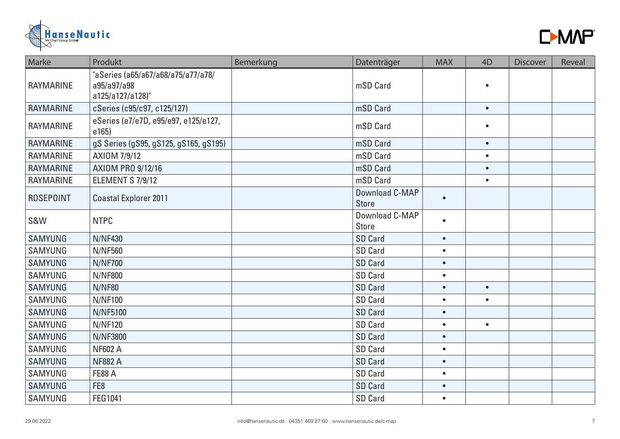



| Marke            | Produkt                                                               | Bemerkung | Datenträger                    | <b>MAX</b> | 4 <sub>D</sub> | <b>Discover</b> | Reveal |
|------------------|-----------------------------------------------------------------------|-----------|--------------------------------|------------|----------------|-----------------|--------|
| <b>RAYMARINE</b> | "aSeries (a65/a67/a68/a75/a77/a78/<br>a95/a97/a98<br>a125/a127/a128)" |           | mSD Card                       |            | $\bullet$      |                 |        |
| <b>RAYMARINE</b> | cSeries (c95/c97, c125/127)                                           |           | mSD Card                       |            | $\bullet$      |                 |        |
| <b>RAYMARINE</b> | eSeries (e7/e7D, e95/e97, e125/e127,<br>e165)                         |           | mSD Card                       |            | $\bullet$      |                 |        |
| <b>RAYMARINE</b> | gS Series (gS95, gS125, gS165, gS195)                                 |           | mSD Card                       |            | $\bullet$      |                 |        |
| <b>RAYMARINE</b> | AXIOM 7/9/12                                                          |           | mSD Card                       |            | $\bullet$      |                 |        |
| <b>RAYMARINE</b> | AXIOM PRO 9/12/16                                                     |           | mSD Card                       |            | $\bullet$      |                 |        |
| <b>RAYMARINE</b> | ELEMENT S 7/9/12                                                      |           | mSD Card                       |            | $\bullet$      |                 |        |
| <b>ROSEPOINT</b> | <b>Coastal Explorer 2011</b>                                          |           | Download C-MAP<br><b>Store</b> | $\bullet$  |                |                 |        |
| S&W              | <b>NTPC</b>                                                           |           | Download C-MAP<br><b>Store</b> | $\bullet$  |                |                 |        |
| <b>SAMYUNG</b>   | <b>N/NF430</b>                                                        |           | SD Card                        | $\bullet$  |                |                 |        |
| <b>SAMYUNG</b>   | <b>N/NF560</b>                                                        |           | SD Card                        | $\bullet$  |                |                 |        |
| <b>SAMYUNG</b>   | <b>N/NF700</b>                                                        |           | <b>SD Card</b>                 | $\bullet$  |                |                 |        |
| <b>SAMYUNG</b>   | <b>N/NF800</b>                                                        |           | SD Card                        | $\bullet$  |                |                 |        |
| <b>SAMYUNG</b>   | <b>N/NF80</b>                                                         |           | <b>SD Card</b>                 | $\bullet$  | $\bullet$      |                 |        |
| <b>SAMYUNG</b>   | <b>N/NF100</b>                                                        |           | SD Card                        | $\bullet$  | $\bullet$      |                 |        |
| <b>SAMYUNG</b>   | <b>N/NF5100</b>                                                       |           | <b>SD Card</b>                 | $\bullet$  |                |                 |        |
| <b>SAMYUNG</b>   | <b>N/NF120</b>                                                        |           | SD Card                        | $\bullet$  | $\bullet$      |                 |        |
| <b>SAMYUNG</b>   | <b>N/NF3800</b>                                                       |           | SD Card                        | $\bullet$  |                |                 |        |
| <b>SAMYUNG</b>   | <b>NF602 A</b>                                                        |           | SD Card                        | $\bullet$  |                |                 |        |
| <b>SAMYUNG</b>   | <b>NF882 A</b>                                                        |           | SD Card                        | $\bullet$  |                |                 |        |
| <b>SAMYUNG</b>   | <b>FE88 A</b>                                                         |           | SD Card                        | $\bullet$  |                |                 |        |
| <b>SAMYUNG</b>   | FE <sub>8</sub>                                                       |           | SD Card                        | $\bullet$  |                |                 |        |
| <b>SAMYUNG</b>   | FEG1041                                                               |           | SD Card                        | $\bullet$  |                |                 |        |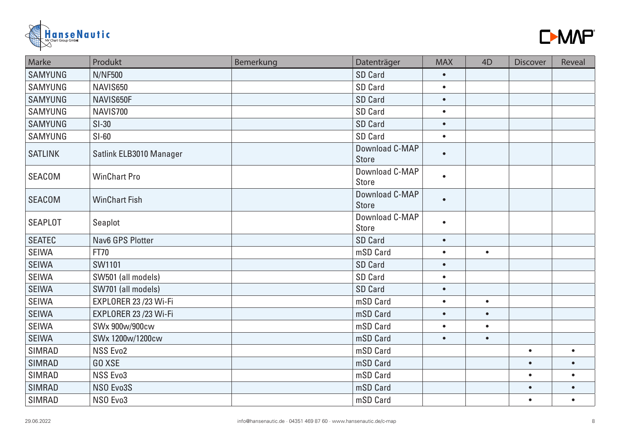



| Marke          | Produkt                 | Bemerkung | Datenträger                    | <b>MAX</b> | 4D        | <b>Discover</b> | Reveal    |
|----------------|-------------------------|-----------|--------------------------------|------------|-----------|-----------------|-----------|
| <b>SAMYUNG</b> | <b>N/NF500</b>          |           | <b>SD Card</b>                 | $\bullet$  |           |                 |           |
| <b>SAMYUNG</b> | NAVIS650                |           | SD Card                        | $\bullet$  |           |                 |           |
| <b>SAMYUNG</b> | NAVIS650F               |           | <b>SD Card</b>                 | $\bullet$  |           |                 |           |
| <b>SAMYUNG</b> | NAVIS700                |           | SD Card                        | $\bullet$  |           |                 |           |
| <b>SAMYUNG</b> | $SI-30$                 |           | <b>SD Card</b>                 | $\bullet$  |           |                 |           |
| <b>SAMYUNG</b> | $SI-60$                 |           | SD Card                        | $\bullet$  |           |                 |           |
| <b>SATLINK</b> | Satlink ELB3010 Manager |           | Download C-MAP<br><b>Store</b> | $\bullet$  |           |                 |           |
| <b>SEACOM</b>  | <b>WinChart Pro</b>     |           | Download C-MAP<br><b>Store</b> | $\bullet$  |           |                 |           |
| <b>SEACOM</b>  | <b>WinChart Fish</b>    |           | Download C-MAP<br><b>Store</b> | $\bullet$  |           |                 |           |
| <b>SEAPLOT</b> | Seaplot                 |           | Download C-MAP<br><b>Store</b> | $\bullet$  |           |                 |           |
| <b>SEATEC</b>  | Nav6 GPS Plotter        |           | <b>SD Card</b>                 | $\bullet$  |           |                 |           |
| <b>SEIWA</b>   | <b>FT70</b>             |           | mSD Card                       | $\bullet$  | $\bullet$ |                 |           |
| <b>SEIWA</b>   | SW1101                  |           | <b>SD Card</b>                 | $\bullet$  |           |                 |           |
| <b>SEIWA</b>   | SW501 (all models)      |           | SD Card                        | $\bullet$  |           |                 |           |
| <b>SEIWA</b>   | SW701 (all models)      |           | <b>SD Card</b>                 | $\bullet$  |           |                 |           |
| <b>SEIWA</b>   | EXPLORER 23 /23 Wi-Fi   |           | mSD Card                       | $\bullet$  | $\bullet$ |                 |           |
| <b>SEIWA</b>   | EXPLORER 23 /23 Wi-Fi   |           | mSD Card                       | $\bullet$  | $\bullet$ |                 |           |
| <b>SEIWA</b>   | SWx 900w/900cw          |           | mSD Card                       | $\bullet$  | $\bullet$ |                 |           |
| <b>SEIWA</b>   | SWx 1200w/1200cw        |           | mSD Card                       | $\bullet$  | $\bullet$ |                 |           |
| <b>SIMRAD</b>  | <b>NSS Evo2</b>         |           | mSD Card                       |            |           | $\bullet$       | $\bullet$ |
| <b>SIMRAD</b>  | <b>GO XSE</b>           |           | mSD Card                       |            |           | $\bullet$       |           |
| <b>SIMRAD</b>  | NSS Evo3                |           | mSD Card                       |            |           | $\bullet$       | $\bullet$ |
| <b>SIMRAD</b>  | NSO Evo3S               |           | mSD Card                       |            |           | $\bullet$       |           |
| <b>SIMRAD</b>  | NSO Evo3                |           | mSD Card                       |            |           | $\bullet$       | $\bullet$ |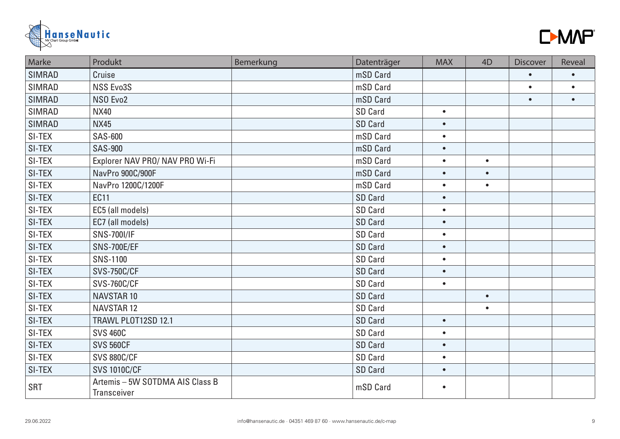



| Marke         | Produkt                                               | Bemerkung | Datenträger    | <b>MAX</b> | 4D        | <b>Discover</b> | Reveal    |
|---------------|-------------------------------------------------------|-----------|----------------|------------|-----------|-----------------|-----------|
| <b>SIMRAD</b> | Cruise                                                |           | mSD Card       |            |           | $\bullet$       | $\bullet$ |
| <b>SIMRAD</b> | NSS Evo3S                                             |           | mSD Card       |            |           | $\bullet$       | $\bullet$ |
| <b>SIMRAD</b> | NSO Evo2                                              |           | mSD Card       |            |           | $\bullet$       | $\bullet$ |
| <b>SIMRAD</b> | <b>NX40</b>                                           |           | <b>SD Card</b> | $\bullet$  |           |                 |           |
| <b>SIMRAD</b> | <b>NX45</b>                                           |           | <b>SD Card</b> | $\bullet$  |           |                 |           |
| SI-TEX        | <b>SAS-600</b>                                        |           | mSD Card       | $\bullet$  |           |                 |           |
| SI-TEX        | <b>SAS-900</b>                                        |           | mSD Card       | $\bullet$  |           |                 |           |
| SI-TEX        | Explorer NAV PRO/ NAV PRO Wi-Fi                       |           | mSD Card       | $\bullet$  | $\bullet$ |                 |           |
| SI-TEX        | NavPro 900C/900F                                      |           | mSD Card       | $\bullet$  | $\bullet$ |                 |           |
| SI-TEX        | NavPro 1200C/1200F                                    |           | mSD Card       | $\bullet$  | $\bullet$ |                 |           |
| SI-TEX        | <b>EC11</b>                                           |           | <b>SD Card</b> | $\bullet$  |           |                 |           |
| SI-TEX        | EC5 (all models)                                      |           | <b>SD Card</b> | $\bullet$  |           |                 |           |
| SI-TEX        | EC7 (all models)                                      |           | <b>SD Card</b> | $\bullet$  |           |                 |           |
| SI-TEX        | <b>SNS-700I/IF</b>                                    |           | <b>SD Card</b> | $\bullet$  |           |                 |           |
| SI-TEX        | <b>SNS-700E/EF</b>                                    |           | <b>SD Card</b> | $\bullet$  |           |                 |           |
| SI-TEX        | <b>SNS-1100</b>                                       |           | SD Card        | $\bullet$  |           |                 |           |
| SI-TEX        | <b>SVS-750C/CF</b>                                    |           | <b>SD Card</b> | $\bullet$  |           |                 |           |
| SI-TEX        | <b>SVS-760C/CF</b>                                    |           | SD Card        | $\bullet$  |           |                 |           |
| SI-TEX        | <b>NAVSTAR 10</b>                                     |           | <b>SD Card</b> |            | $\bullet$ |                 |           |
| SI-TEX        | <b>NAVSTAR12</b>                                      |           | <b>SD Card</b> |            | $\bullet$ |                 |           |
| SI-TEX        | TRAWL PLOT12SD 12.1                                   |           | <b>SD Card</b> | $\bullet$  |           |                 |           |
| SI-TEX        | <b>SVS 460C</b>                                       |           | SD Card        | $\bullet$  |           |                 |           |
| SI-TEX        | <b>SVS 560CF</b>                                      |           | <b>SD Card</b> | $\bullet$  |           |                 |           |
| SI-TEX        | <b>SVS 880C/CF</b>                                    |           | SD Card        | $\bullet$  |           |                 |           |
| SI-TEX        | <b>SVS 1010C/CF</b>                                   |           | <b>SD Card</b> | $\bullet$  |           |                 |           |
| <b>SRT</b>    | Artemis - 5W SOTDMA AIS Class B<br><b>Transceiver</b> |           | mSD Card       | $\bullet$  |           |                 |           |